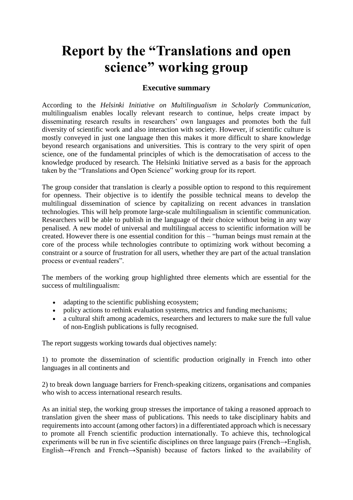## **Report by the "Translations and open science" working group**

## **Executive summary**

According to the *Helsinki Initiative on Multilingualism in Scholarly Communication,* multilingualism enables locally relevant research to continue, helps create impact by disseminating research results in researchers' own languages and promotes both the full diversity of scientific work and also interaction with society. However, if scientific culture is mostly conveyed in just one language then this makes it more difficult to share knowledge beyond research organisations and universities. This is contrary to the very spirit of open science, one of the fundamental principles of which is the democratisation of access to the knowledge produced by research. The Helsinki Initiative served as a basis for the approach taken by the "Translations and Open Science" working group for its report.

The group consider that translation is clearly a possible option to respond to this requirement for openness. Their objective is to identify the possible technical means to develop the multilingual dissemination of science by capitalizing on recent advances in translation technologies. This will help promote large-scale multilingualism in scientific communication. Researchers will be able to publish in the language of their choice without being in any way penalised. A new model of universal and multilingual access to scientific information will be created. However there is one essential condition for this – "human beings must remain at the core of the process while technologies contribute to optimizing work without becoming a constraint or a source of frustration for all users, whether they are part of the actual translation process or eventual readers".

The members of the working group highlighted three elements which are essential for the success of multilingualism:

- adapting to the scientific publishing ecosystem;
- policy actions to rethink evaluation systems, metrics and funding mechanisms;
- a cultural shift among academics, researchers and lecturers to make sure the full value of non-English publications is fully recognised.

The report suggests working towards dual objectives namely:

1) to promote the dissemination of scientific production originally in French into other languages in all continents and

2) to break down language barriers for French-speaking citizens, organisations and companies who wish to access international research results.

As an initial step, the working group stresses the importance of taking a reasoned approach to translation given the sheer mass of publications. This needs to take disciplinary habits and requirements into account (among other factors) in a differentiated approach which is necessary to promote all French scientific production internationally. To achieve this, technological experiments will be run in five scientific disciplines on three language pairs (French→English, English→French and French→Spanish) because of factors linked to the availability of